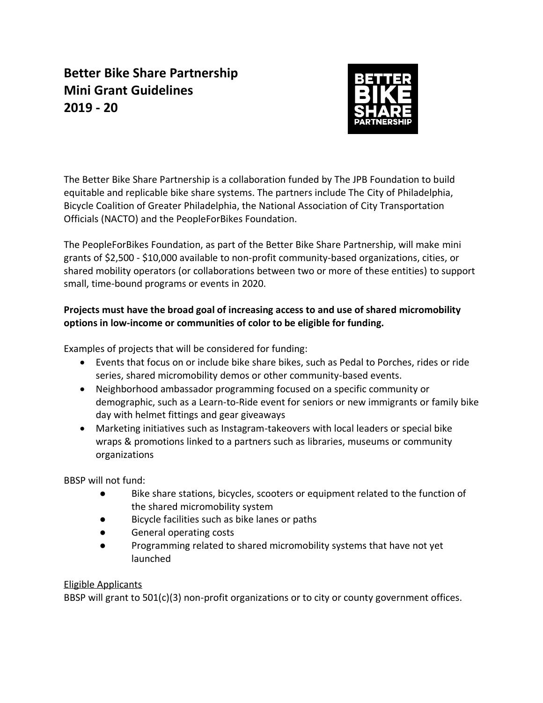# **Better Bike Share Partnership Mini Grant Guidelines 2019 - 20**



The Better Bike Share Partnership is a collaboration funded by The JPB Foundation to build equitable and replicable bike share systems. The partners include The City of Philadelphia, Bicycle Coalition of Greater Philadelphia, the National Association of City Transportation Officials (NACTO) and the PeopleForBikes Foundation.

The PeopleForBikes Foundation, as part of the Better Bike Share Partnership, will make mini grants of \$2,500 - \$10,000 available to non-profit community-based organizations, cities, or shared mobility operators (or collaborations between two or more of these entities) to support small, time-bound programs or events in 2020.

## **Projects must have the broad goal of increasing access to and use of shared micromobility options in low-income or communities of color to be eligible for funding.**

Examples of projects that will be considered for funding:

- Events that focus on or include bike share bikes, such as Pedal to Porches, rides or ride series, shared micromobility demos or other community-based events.
- Neighborhood ambassador programming focused on a specific community or demographic, such as a Learn-to-Ride event for seniors or new immigrants or family bike day with helmet fittings and gear giveaways
- Marketing initiatives such as Instagram-takeovers with local leaders or special bike wraps & promotions linked to a partners such as libraries, museums or community organizations

BBSP will not fund:

- Bike share stations, bicycles, scooters or equipment related to the function of the shared micromobility system
- Bicycle facilities such as bike lanes or paths
- General operating costs
- Programming related to shared micromobility systems that have not yet launched

## Eligible Applicants

BBSP will grant to 501(c)(3) non-profit organizations or to city or county government offices.